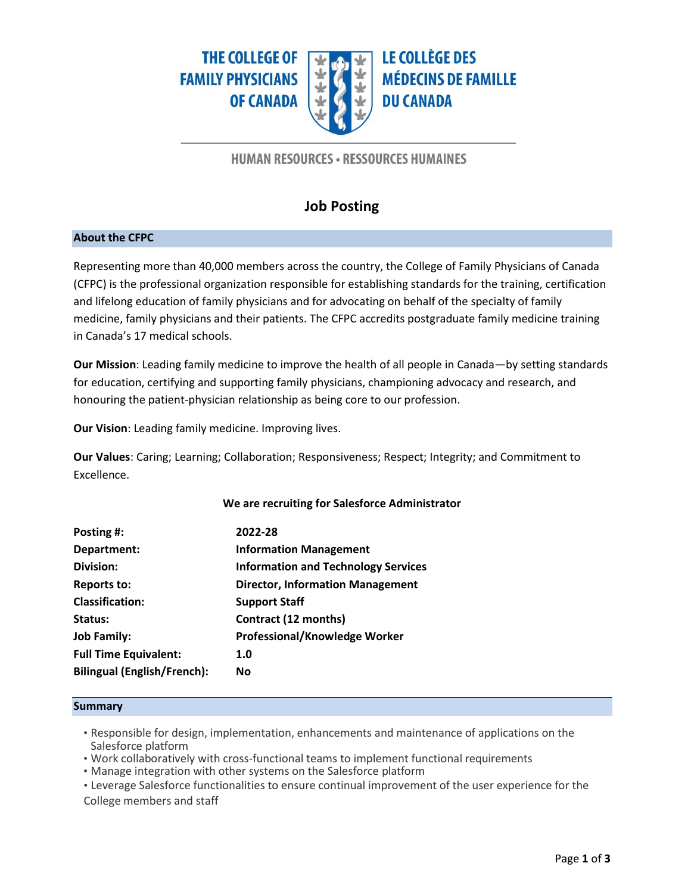**THE COLLEGE OF FAMILY PHYSICIANS OF CANADA** 



**LE COLLÈGE DES MÉDECINS DE FAMILLE DU CANADA** 

# **HUMAN RESOURCES - RESSOURCES HUMAINES**

# **Job Posting**

# **About the CFPC**

Representing more than 40,000 members across the country, the College of Family Physicians of Canada (CFPC) is the professional organization responsible for establishing standards for the training, certification and lifelong education of family physicians and for advocating on behalf of the specialty of family medicine, family physicians and their patients. The CFPC accredits postgraduate family medicine training in Canada's 17 medical schools.

**Our Mission**: Leading family medicine to improve the health of all people in Canada—by setting standards for education, certifying and supporting family physicians, championing advocacy and research, and honouring the patient-physician relationship as being core to our profession.

**Our Vision**: Leading family medicine. Improving lives.

**Our Values**: Caring; Learning; Collaboration; Responsiveness; Respect; Integrity; and Commitment to Excellence.

# **We are recruiting for Salesforce Administrator**

| Posting #:                         | 2022-28                                    |
|------------------------------------|--------------------------------------------|
| Department:                        | <b>Information Management</b>              |
| Division:                          | <b>Information and Technology Services</b> |
| Reports to:                        | <b>Director, Information Management</b>    |
| <b>Classification:</b>             | <b>Support Staff</b>                       |
| Status:                            | Contract (12 months)                       |
| <b>Job Family:</b>                 | Professional/Knowledge Worker              |
| <b>Full Time Equivalent:</b>       | 1.0                                        |
| <b>Bilingual (English/French):</b> | <b>No</b>                                  |
|                                    |                                            |

### **Summary**

• Responsible for design, implementation, enhancements and maintenance of applications on the Salesforce platform

• Work collaboratively with cross-functional teams to implement functional requirements

• Manage integration with other systems on the Salesforce platform

• Leverage Salesforce functionalities to ensure continual improvement of the user experience for the College members and staff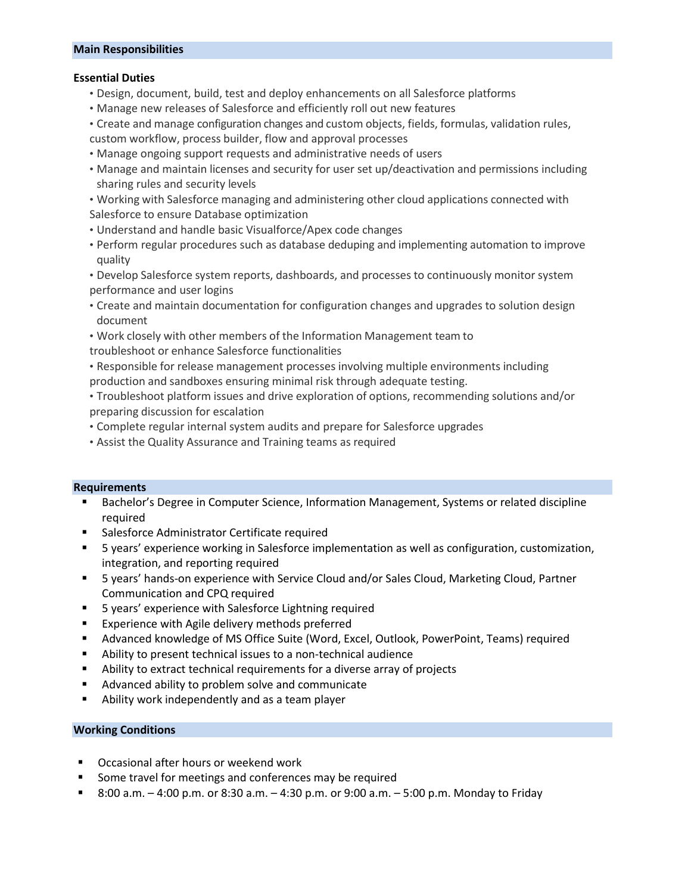#### **Main Responsibilities**

### **Essential Duties**

- Design, document, build, test and deploy enhancements on all Salesforce platforms
- Manage new releases of Salesforce and efficiently roll out new features
- Create and manage configuration changes and custom objects, fields, formulas, validation rules, custom workflow, process builder, flow and approval processes
- Manage ongoing support requests and administrative needs of users
- Manage and maintain licenses and security for user set up/deactivation and permissions including sharing rules and security levels
- Working with Salesforce managing and administering other cloud applications connected with Salesforce to ensure Database optimization
- Understand and handle basic Visualforce/Apex code changes
- Perform regular procedures such as database deduping and implementing automation to improve quality
- Develop Salesforce system reports, dashboards, and processes to continuously monitor system performance and user logins
- Create and maintain documentation for configuration changes and upgrades to solution design document
- Work closely with other members of the Information Management team to
- troubleshoot or enhance Salesforce functionalities

• Responsible for release management processes involving multiple environments including production and sandboxes ensuring minimal risk through adequate testing.

• Troubleshoot platform issues and drive exploration of options, recommending solutions and/or preparing discussion for escalation

- Complete regular internal system audits and prepare for Salesforce upgrades
- Assist the Quality Assurance and Training teams as required

# **Requirements**

- **■** Bachelor's Degree in Computer Science, Information Management, Systems or related discipline required
- Salesforce Administrator Certificate required
- 5 years' experience working in Salesforce implementation as well as configuration, customization, integration, and reporting required
- 5 years' hands-on experience with Service Cloud and/or Sales Cloud, Marketing Cloud, Partner Communication and CPQ required
- 5 years' experience with Salesforce Lightning required
- Experience with Agile delivery methods preferred
- Advanced knowledge of MS Office Suite (Word, Excel, Outlook, PowerPoint, Teams) required
- Ability to present technical issues to a non-technical audience
- Ability to extract technical requirements for a diverse array of projects
- Advanced ability to problem solve and communicate
- Ability work independently and as a team player

# **Working Conditions**

- Occasional after hours or weekend work
- Some travel for meetings and conferences may be required
- 8:00 a.m. 4:00 p.m. or 8:30 a.m. 4:30 p.m. or 9:00 a.m. 5:00 p.m. Monday to Friday